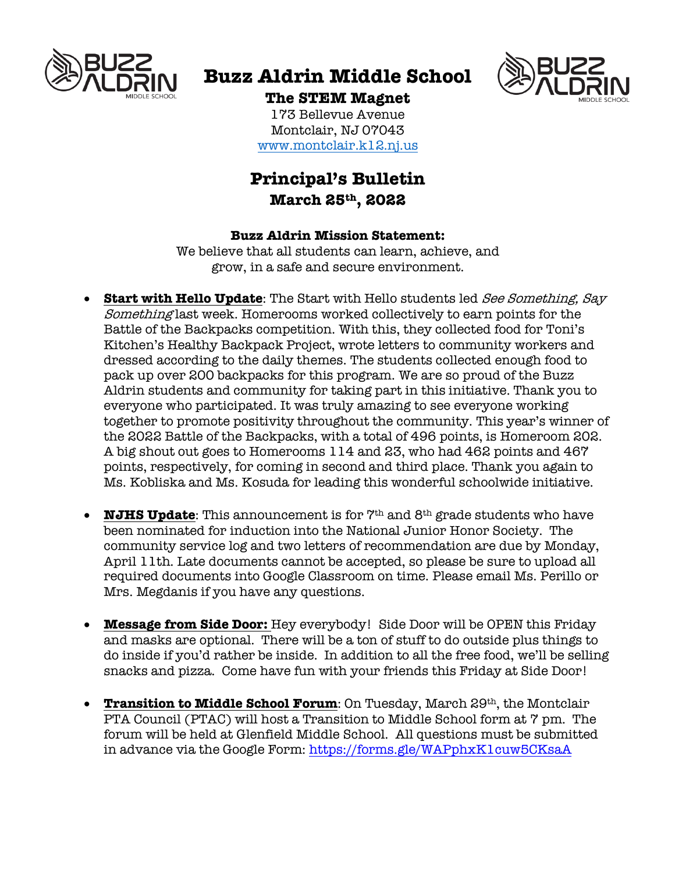

# **Buzz Aldrin Middle School**



## **The STEM Magnet**

173 Bellevue Avenue Montclair, NJ 07043 www.montclair.k12.nj.us

## **Principal's Bulletin March 25th, 2022**

### **Buzz Aldrin Mission Statement:**

We believe that all students can learn, achieve, and grow, in a safe and secure environment.

- **Start with Hello Update**: The Start with Hello students led See Something, Say Something last week. Homerooms worked collectively to earn points for the Battle of the Backpacks competition. With this, they collected food for Toni's Kitchen's Healthy Backpack Project, wrote letters to community workers and dressed according to the daily themes. The students collected enough food to pack up over 200 backpacks for this program. We are so proud of the Buzz Aldrin students and community for taking part in this initiative. Thank you to everyone who participated. It was truly amazing to see everyone working together to promote positivity throughout the community. This year's winner of the 2022 Battle of the Backpacks, with a total of 496 points, is Homeroom 202. A big shout out goes to Homerooms 114 and 23, who had 462 points and 467 points, respectively, for coming in second and third place. Thank you again to Ms. Kobliska and Ms. Kosuda for leading this wonderful schoolwide initiative.
- **NJHS Update**: This announcement is for  $7<sup>th</sup>$  and  $8<sup>th</sup>$  grade students who have been nominated for induction into the National Junior Honor Society. The community service log and two letters of recommendation are due by Monday, April 11th. Late documents cannot be accepted, so please be sure to upload all required documents into Google Classroom on time. Please email Ms. Perillo or Mrs. Megdanis if you have any questions.
- **Message from Side Door:** Hey everybody! Side Door will be OPEN this Friday and masks are optional. There will be a ton of stuff to do outside plus things to do inside if you'd rather be inside. In addition to all the free food, we'll be selling snacks and pizza. Come have fun with your friends this Friday at Side Door!
- **Transition to Middle School Forum:** On Tuesday, March 29<sup>th</sup>, the Montclair PTA Council (PTAC) will host a Transition to Middle School form at 7 pm. The forum will be held at Glenfield Middle School. All questions must be submitted in advance via the Google Form: https://forms.gle/WAPphxK1cuw5CKsaA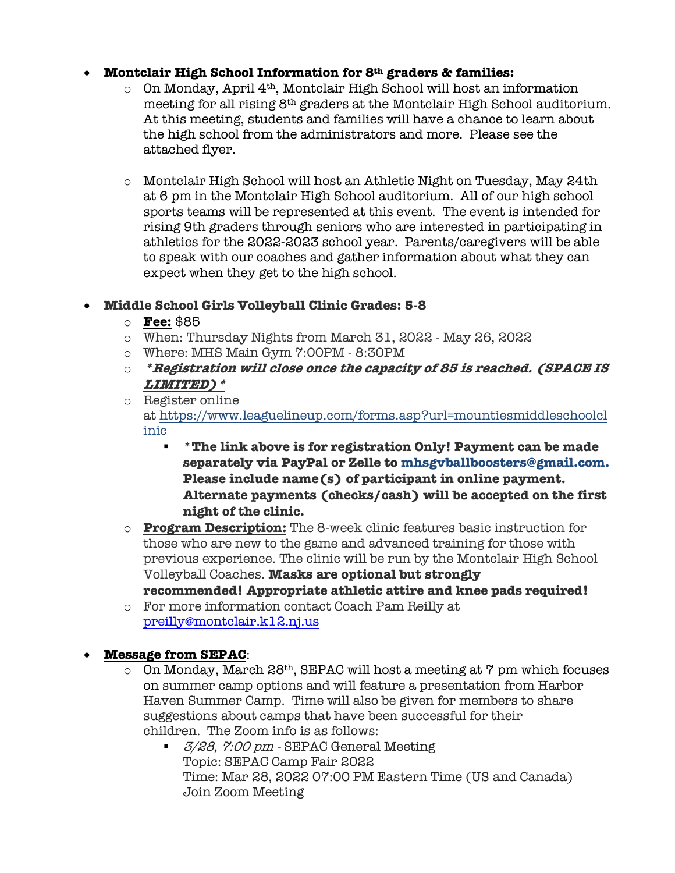## • **Montclair High School Information for 8th graders & families:**

- o On Monday, April 4th, Montclair High School will host an information meeting for all rising 8th graders at the Montclair High School auditorium. At this meeting, students and families will have a chance to learn about the high school from the administrators and more. Please see the attached flyer.
- o Montclair High School will host an Athletic Night on Tuesday, May 24th at 6 pm in the Montclair High School auditorium. All of our high school sports teams will be represented at this event. The event is intended for rising 9th graders through seniors who are interested in participating in athletics for the 2022-2023 school year. Parents/caregivers will be able to speak with our coaches and gather information about what they can expect when they get to the high school.

## • **Middle School Girls Volleyball Clinic Grades: 5-8**

- o **Fee:** \$85
- o When: Thursday Nights from March 31, 2022 May 26, 2022
- o Where: MHS Main Gym 7:00PM 8:30PM
- o **\*Registration will close once the capacity of 85 is reached. (SPACE IS LIMITED)\***
- o Register online at https://www.leaguelineup.com/forms.asp?url=mountiesmiddleschoolcl inic
	- § **\*The link above is for registration Only! Payment can be made separately via PayPal or Zelle to mhsgvballboosters@gmail.com. Please include name(s) of participant in online payment. Alternate payments (checks/cash) will be accepted on the first night of the clinic.**
- o **Program Description:** The 8-week clinic features basic instruction for those who are new to the game and advanced training for those with previous experience. The clinic will be run by the Montclair High School Volleyball Coaches. **Masks are optional but strongly recommended! Appropriate athletic attire and knee pads required!**
- o For more information contact Coach Pam Reilly at preilly@montclair.k12.nj.us

## • **Message from SEPAC**:

- $\circ$  On Monday, March 28<sup>th</sup>, SEPAC will host a meeting at 7 pm which focuses on summer camp options and will feature a presentation from Harbor Haven Summer Camp. Time will also be given for members to share suggestions about camps that have been successful for their children. The Zoom info is as follows:
	- *3/28, 7:00 pm -* SEPAC General Meeting Topic: SEPAC Camp Fair 2022 Time: Mar 28, 2022 07:00 PM Eastern Time (US and Canada) Join Zoom Meeting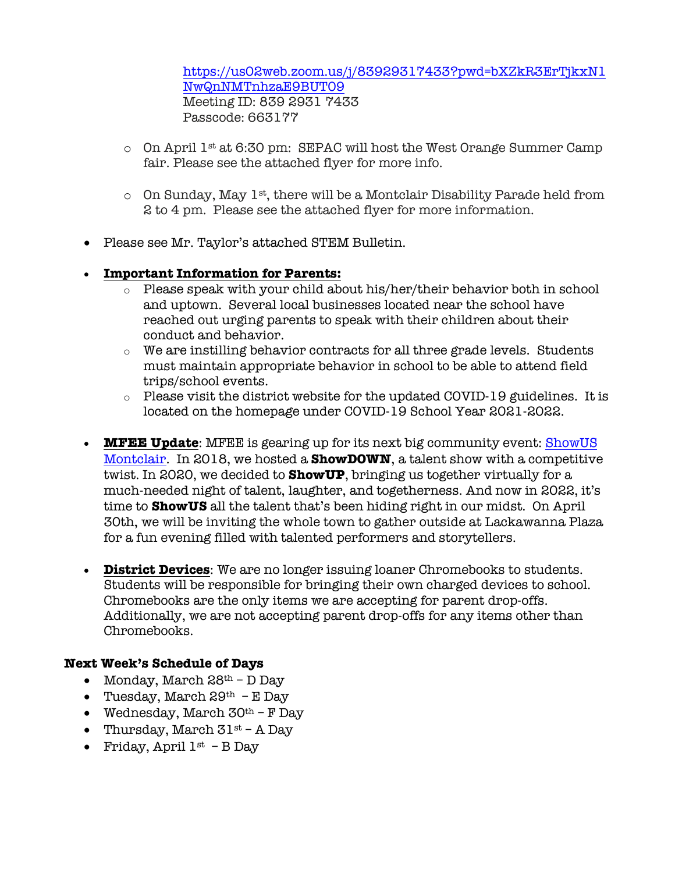https://us02web.zoom.us/j/83929317433?pwd=bXZkR3ErTjkxN1 NwQnNMTnhzaE9BUT09 Meeting ID: 839 2931 7433 Passcode: 663177

- o On April 1st at 6:30 pm: SEPAC will host the West Orange Summer Camp fair. Please see the attached flyer for more info.
- $\circ$  On Sunday, May 1<sup>st</sup>, there will be a Montclair Disability Parade held from 2 to 4 pm. Please see the attached flyer for more information.
- Please see Mr. Taylor's attached STEM Bulletin.
- **Important Information for Parents:**
	- o Please speak with your child about his/her/their behavior both in school and uptown. Several local businesses located near the school have reached out urging parents to speak with their children about their conduct and behavior.
	- o We are instilling behavior contracts for all three grade levels. Students must maintain appropriate behavior in school to be able to attend field trips/school events.
	- o Please visit the district website for the updated COVID-19 guidelines. It is located on the homepage under COVID-19 School Year 2021-2022.
- **MFEE Update**: MFEE is gearing up for its next big community event: ShowUS Montclair. In 2018, we hosted a **ShowDOWN**, a talent show with a competitive twist. In 2020, we decided to **ShowUP**, bringing us together virtually for a much-needed night of talent, laughter, and togetherness. And now in 2022, it's time to **ShowUS** all the talent that's been hiding right in our midst. On April 30th, we will be inviting the whole town to gather outside at Lackawanna Plaza for a fun evening filled with talented performers and storytellers.
- **District Devices**: We are no longer issuing loaner Chromebooks to students. Students will be responsible for bringing their own charged devices to school. Chromebooks are the only items we are accepting for parent drop-offs. Additionally, we are not accepting parent drop-offs for any items other than Chromebooks.

### **Next Week's Schedule of Days**

- Monday, March  $28<sup>th</sup> D$  Day
- Tuesday, March  $29<sup>th</sup>$  E Day
- Wednesday, March  $30<sup>th</sup>$  F Day
- Thursday, March  $31^{st}$  A Day
- Friday, April  $1^{st}$  B Day